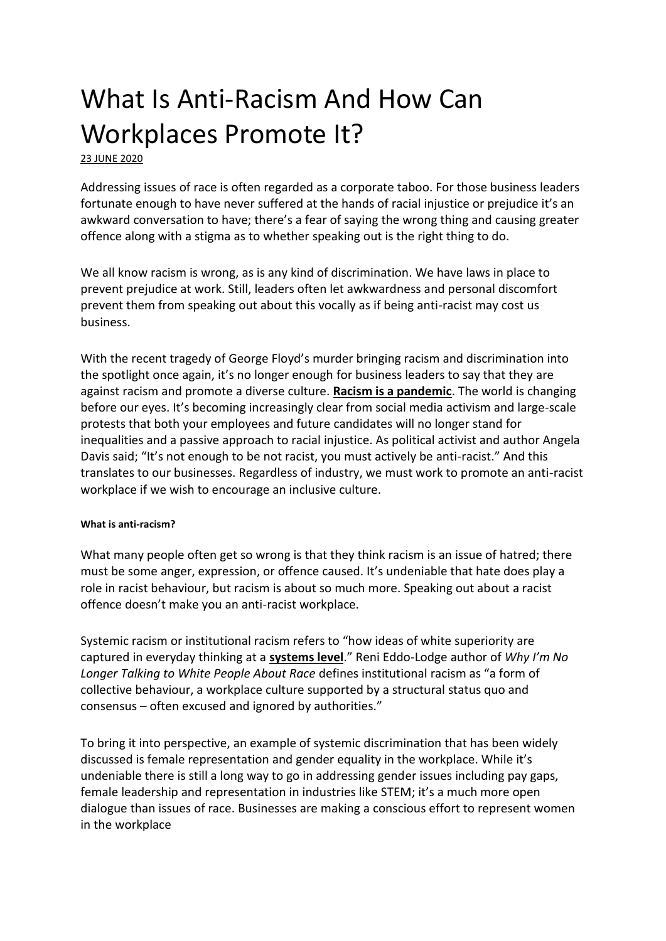# What Is Anti-Racism And How Can Workplaces Promote It?

[23 JUNE 2020](https://www.talent-works.com/2020/06/23/what-is-anti-racism-and-how-can-workplaces-promote-it/)

Addressing issues of race is often regarded as a corporate taboo. For those business leaders fortunate enough to have never suffered at the hands of racial injustice or prejudice it's an awkward conversation to have; there's a fear of saying the wrong thing and causing greater offence along with a stigma as to whether speaking out is the right thing to do.

We all know racism is wrong, as is any kind of discrimination. We have laws in place to prevent prejudice at work. Still, leaders often let awkwardness and personal discomfort prevent them from speaking out about this vocally as if being anti-racist may cost us business.

With the recent tragedy of George Floyd's murder bringing racism and discrimination into the spotlight once again, it's no longer enough for business leaders to say that they are against racism and promote a diverse culture. **[Racism is a pandemic](https://marker.medium.com/ceos-need-to-treat-racism-like-the-pandemic-it-is-3438c815b7c4)**. The world is changing before our eyes. It's becoming increasingly clear from social media activism and large-scale protests that both your employees and future candidates will no longer stand for inequalities and a passive approach to racial injustice. As political activist and author Angela Davis said; "It's not enough to be not racist, you must actively be anti-racist." And this translates to our businesses. Regardless of industry, we must work to promote an anti-racist workplace if we wish to encourage an inclusive culture.

## **What is anti-racism?**

What many people often get so wrong is that they think racism is an issue of hatred; there must be some anger, expression, or offence caused. It's undeniable that hate does play a role in racist behaviour, but racism is about so much more. Speaking out about a racist offence doesn't make you an anti-racist workplace.

Systemic racism or institutional racism refers to "how ideas of white superiority are captured in everyday thinking at a **[systems level](https://en.wikipedia.org/wiki/Systems_theory)**." Reni Eddo-Lodge author of *Why I'm No Longer Talking to White People About Race* defines institutional racism as "a form of collective behaviour, a workplace culture supported by a structural status quo and consensus – often excused and ignored by authorities."

To bring it into perspective, an example of systemic discrimination that has been widely discussed is female representation and gender equality in the workplace. While it's undeniable there is still a long way to go in addressing gender issues including pay gaps, female leadership and representation in industries like STEM; it's a much more open dialogue than issues of race. Businesses are making a conscious effort to represent women in the workplace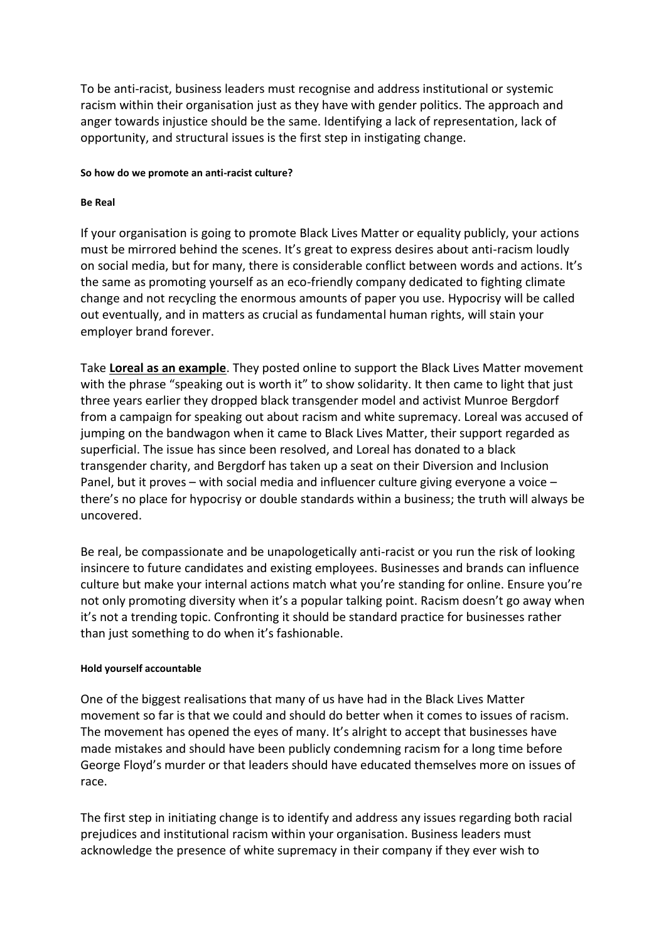To be anti-racist, business leaders must recognise and address institutional or systemic racism within their organisation just as they have with gender politics. The approach and anger towards injustice should be the same. Identifying a lack of representation, lack of opportunity, and structural issues is the first step in instigating change.

#### **So how do we promote an anti-racist culture?**

### **Be Real**

If your organisation is going to promote Black Lives Matter or equality publicly, your actions must be mirrored behind the scenes. It's great to express desires about anti-racism loudly on social media, but for many, there is considerable conflict between words and actions. It's the same as promoting yourself as an eco-friendly company dedicated to fighting climate change and not recycling the enormous amounts of paper you use. Hypocrisy will be called out eventually, and in matters as crucial as fundamental human rights, will stain your employer brand forever.

Take **[Loreal as an example](https://www.bbc.co.uk/news/entertainment-arts-52984555)**. They posted online to support the Black Lives Matter movement with the phrase "speaking out is worth it" to show solidarity. It then came to light that just three years earlier they dropped black transgender model and activist Munroe Bergdorf from a campaign for speaking out about racism and white supremacy. Loreal was accused of jumping on the bandwagon when it came to Black Lives Matter, their support regarded as superficial. The issue has since been resolved, and Loreal has donated to a black transgender charity, and Bergdorf has taken up a seat on their Diversion and Inclusion Panel, but it proves – with social media and influencer culture giving everyone a voice – there's no place for hypocrisy or double standards within a business; the truth will always be uncovered.

Be real, be compassionate and be unapologetically anti-racist or you run the risk of looking insincere to future candidates and existing employees. Businesses and brands can influence culture but make your internal actions match what you're standing for online. Ensure you're not only promoting diversity when it's a popular talking point. Racism doesn't go away when it's not a trending topic. Confronting it should be standard practice for businesses rather than just something to do when it's fashionable.

## **Hold yourself accountable**

One of the biggest realisations that many of us have had in the Black Lives Matter movement so far is that we could and should do better when it comes to issues of racism. The movement has opened the eyes of many. It's alright to accept that businesses have made mistakes and should have been publicly condemning racism for a long time before George Floyd's murder or that leaders should have educated themselves more on issues of race.

The first step in initiating change is to identify and address any issues regarding both racial prejudices and institutional racism within your organisation. Business leaders must acknowledge the presence of white supremacy in their company if they ever wish to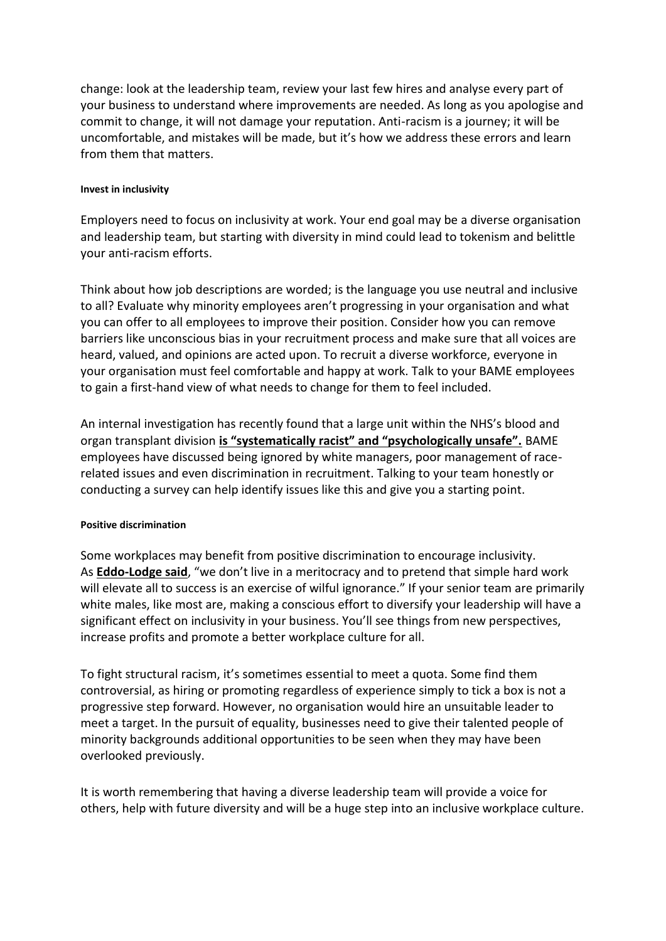change: look at the leadership team, review your last few hires and analyse every part of your business to understand where improvements are needed. As long as you apologise and commit to change, it will not damage your reputation. Anti-racism is a journey; it will be uncomfortable, and mistakes will be made, but it's how we address these errors and learn from them that matters.

#### **Invest in inclusivity**

Employers need to focus on inclusivity at work. Your end goal may be a diverse organisation and leadership team, but starting with diversity in mind could lead to tokenism and belittle your anti-racism efforts.

Think about how job descriptions are worded; is the language you use neutral and inclusive to all? Evaluate why minority employees aren't progressing in your organisation and what you can offer to all employees to improve their position. Consider how you can remove barriers like unconscious bias in your recruitment process and make sure that all voices are heard, valued, and opinions are acted upon. To recruit a diverse workforce, everyone in your organisation must feel comfortable and happy at work. Talk to your BAME employees to gain a first-hand view of what needs to change for them to feel included.

An internal investigation has recently found that a large unit within the NHS's blood and organ transplant division **[is "systematically racist" and "psychologically unsafe".](https://www.theguardian.com/society/2020/jun/09/nhs-blood-unit-systematically-racist-internal-report-finds)** BAME employees have discussed being ignored by white managers, poor management of racerelated issues and even discrimination in recruitment. Talking to your team honestly or conducting a survey can help identify issues like this and give you a starting point.

## **Positive discrimination**

Some workplaces may benefit from positive discrimination to encourage inclusivity. As **[Eddo-Lodge said](https://www.goodreads.com/quotes/9099426-we-don-t-live-in-a-meritocracy-and-to-pretend-that)**, "we don't live in a meritocracy and to pretend that simple hard work will elevate all to success is an exercise of wilful ignorance." If your senior team are primarily white males, like most are, making a conscious effort to diversify your leadership will have a significant effect on inclusivity in your business. You'll see things from new perspectives, increase profits and promote a better workplace culture for all.

To fight structural racism, it's sometimes essential to meet a quota. Some find them controversial, as hiring or promoting regardless of experience simply to tick a box is not a progressive step forward. However, no organisation would hire an unsuitable leader to meet a target. In the pursuit of equality, businesses need to give their talented people of minority backgrounds additional opportunities to be seen when they may have been overlooked previously.

It is worth remembering that having a diverse leadership team will provide a voice for others, help with future diversity and will be a huge step into an inclusive workplace culture.